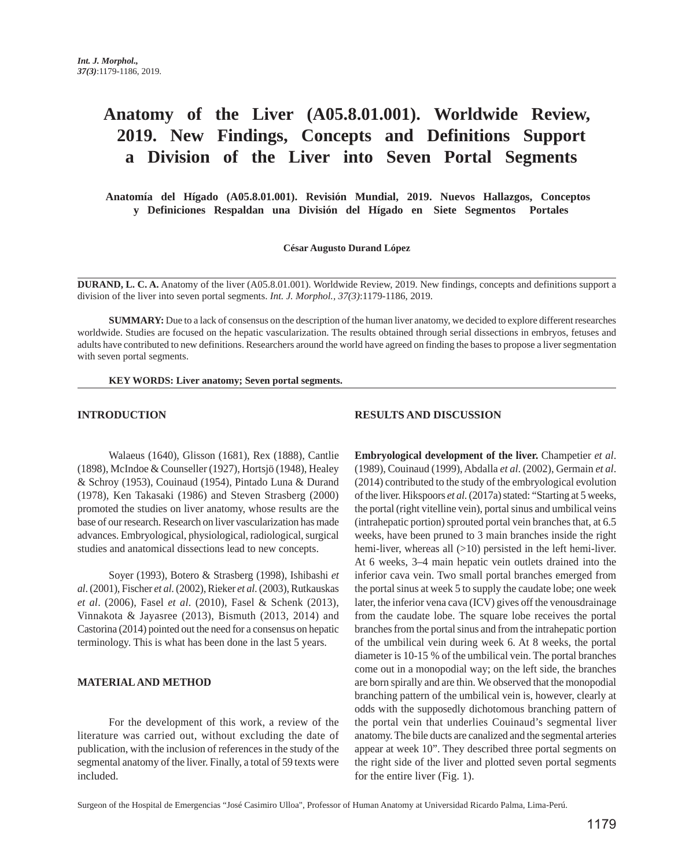# **Anatomy of the Liver (A05.8.01.001). Worldwide Review, 2019. New Findings, Concepts and Definitions Support a Division of the Liver into Seven Portal Segments**

 **Anatomía del Hígado (A05.8.01.001). Revisión Mundial, 2019. Nuevos Hallazgos, Conceptos y Definiciones Respaldan una División del Hígado en Siete Segmentos Portales** 

#### **César Augusto Durand López**

**DURAND, L. C. A.** Anatomy of the liver (A05.8.01.001). Worldwide Review, 2019. New findings, concepts and definitions support a division of the liver into seven portal segments. *Int. J. Morphol., 37(3)*:1179-1186, 2019.

**SUMMARY:** Due to a lack of consensus on the description of the human liver anatomy, we decided to explore different researches worldwide. Studies are focused on the hepatic vascularization. The results obtained through serial dissections in embryos, fetuses and adults have contributed to new definitions. Researchers around the world have agreed on finding the bases to propose a liver segmentation with seven portal segments.

#### **KEY WORDS: Liver anatomy; Seven portal segments.**

## **INTRODUCTION**

Walaeus (1640), Glisson (1681), Rex (1888), Cantlie (1898), McIndoe & Counseller (1927), Hortsjö (1948), Healey & Schroy (1953), Couinaud (1954), Pintado Luna & Durand (1978), Ken Takasaki (1986) and Steven Strasberg (2000) promoted the studies on liver anatomy, whose results are the base of our research. Research on liver vascularization has made advances. Embryological, physiological, radiological, surgical studies and anatomical dissections lead to new concepts.

Soyer (1993), Botero & Strasberg (1998), Ishibashi *et al*. (2001), Fischer *et al*. (2002), Rieker *et al*. (2003), Rutkauskas *et al*. (2006), Fasel *et al*. (2010), Fasel & Schenk (2013), Vinnakota & Jayasree (2013), Bismuth (2013, 2014) and Castorina (2014) pointed out the need for a consensus on hepatic terminology. This is what has been done in the last 5 years.

#### **MATERIAL AND METHOD**

For the development of this work, a review of the literature was carried out, without excluding the date of publication, with the inclusion of references in the study of the segmental anatomy of the liver. Finally, a total of 59 texts were included.

## **RESULTS AND DISCUSSION**

**Embryological development of the liver.** Champetier *et al*. (1989), Couinaud (1999), Abdalla *et al*. (2002), Germain *et al*. (2014) contributed to the study of the embryological evolution of the liver. Hikspoors *et al*. (2017a) stated: "Starting at 5 weeks, the portal (right vitelline vein), portal sinus and umbilical veins (intrahepatic portion) sprouted portal vein branches that, at 6.5 weeks, have been pruned to 3 main branches inside the right hemi-liver, whereas all  $(>10)$  persisted in the left hemi-liver. At 6 weeks, 3–4 main hepatic vein outlets drained into the inferior cava vein. Two small portal branches emerged from the portal sinus at week 5 to supply the caudate lobe; one week later, the inferior vena cava (ICV) gives off the venousdrainage from the caudate lobe. The square lobe receives the portal branches from the portal sinus and from the intrahepatic portion of the umbilical vein during week 6. At 8 weeks, the portal diameter is 10-15 % of the umbilical vein. The portal branches come out in a monopodial way; on the left side, the branches are born spirally and are thin. We observed that the monopodial branching pattern of the umbilical vein is, however, clearly at odds with the supposedly dichotomous branching pattern of the portal vein that underlies Couinaud's segmental liver anatomy. The bile ducts are canalized and the segmental arteries appear at week 10". They described three portal segments on the right side of the liver and plotted seven portal segments for the entire liver (Fig. 1).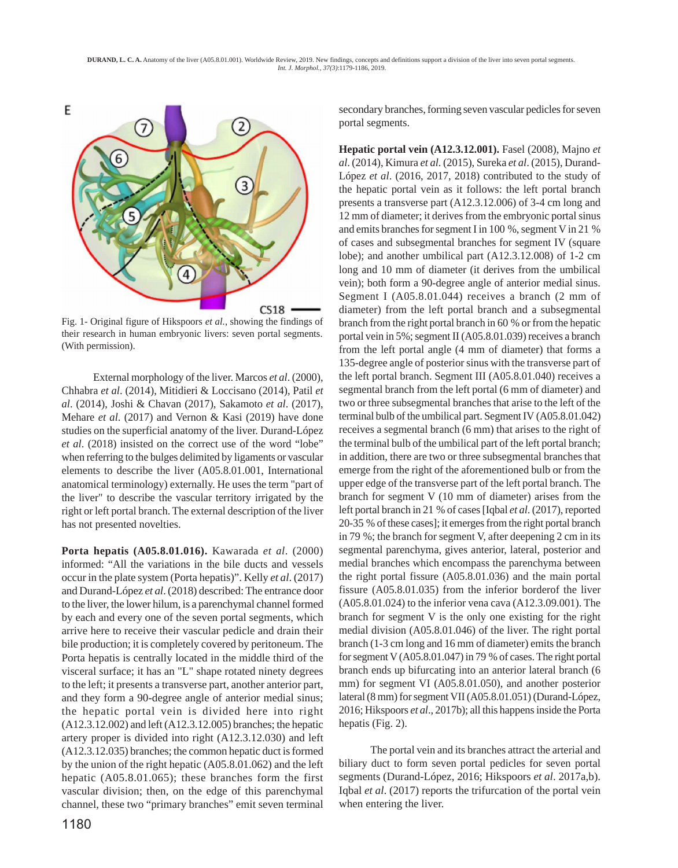

Fig. 1- Original figure of Hikspoors *et al.*, showing the findings of their research in human embryonic livers: seven portal segments. (With permission).

External morphology of the liver. Marcos *et al*. (2000), Chhabra *et al*. (2014), Mitidieri & Loccisano (2014), Patil *et al*. (2014), Joshi & Chavan (2017), Sakamoto *et al*. (2017), Mehare *et al*. (2017) and Vernon & Kasi (2019) have done studies on the superficial anatomy of the liver. Durand-López *et al*. (2018) insisted on the correct use of the word "lobe" when referring to the bulges delimited by ligaments or vascular elements to describe the liver (A05.8.01.001, International anatomical terminology) externally. He uses the term "part of the liver" to describe the vascular territory irrigated by the right or left portal branch. The external description of the liver has not presented novelties.

**Porta hepatis (A05.8.01.016).** Kawarada *et al*. (2000) informed: "All the variations in the bile ducts and vessels occur in the plate system (Porta hepatis)". Kelly *et al*. (2017) and Durand-López *et al*. (2018) described: The entrance door to the liver, the lower hilum, is a parenchymal channel formed by each and every one of the seven portal segments, which arrive here to receive their vascular pedicle and drain their bile production; it is completely covered by peritoneum. The Porta hepatis is centrally located in the middle third of the visceral surface; it has an "L" shape rotated ninety degrees to the left; it presents a transverse part, another anterior part, and they form a 90-degree angle of anterior medial sinus; the hepatic portal vein is divided here into right (A12.3.12.002) and left (A12.3.12.005) branches; the hepatic artery proper is divided into right (A12.3.12.030) and left (A12.3.12.035) branches; the common hepatic duct is formed by the union of the right hepatic (A05.8.01.062) and the left hepatic (A05.8.01.065); these branches form the first vascular division; then, on the edge of this parenchymal channel, these two "primary branches" emit seven terminal secondary branches, forming seven vascular pedicles for seven portal segments.

**Hepatic portal vein (A12.3.12.001).** Fasel (2008), Majno *et al*. (2014), Kimura *et al*. (2015), Sureka *et al*. (2015), Durand-López *et al*. (2016, 2017, 2018) contributed to the study of the hepatic portal vein as it follows: the left portal branch presents a transverse part (A12.3.12.006) of 3-4 cm long and 12 mm of diameter; it derives from the embryonic portal sinus and emits branches for segment I in 100 %, segment V in 21 % of cases and subsegmental branches for segment IV (square lobe); and another umbilical part (A12.3.12.008) of 1-2 cm long and 10 mm of diameter (it derives from the umbilical vein); both form a 90-degree angle of anterior medial sinus. Segment I (A05.8.01.044) receives a branch (2 mm of diameter) from the left portal branch and a subsegmental branch from the right portal branch in 60 % or from the hepatic portal vein in 5%; segment II (A05.8.01.039) receives a branch from the left portal angle (4 mm of diameter) that forms a 135-degree angle of posterior sinus with the transverse part of the left portal branch. Segment III (A05.8.01.040) receives a segmental branch from the left portal (6 mm of diameter) and two or three subsegmental branches that arise to the left of the terminal bulb of the umbilical part. Segment IV (A05.8.01.042) receives a segmental branch (6 mm) that arises to the right of the terminal bulb of the umbilical part of the left portal branch; in addition, there are two or three subsegmental branches that emerge from the right of the aforementioned bulb or from the upper edge of the transverse part of the left portal branch. The branch for segment V (10 mm of diameter) arises from the left portal branch in 21 % of cases [Iqbal *et al*. (2017), reported 20-35 % of these cases]; it emerges from the right portal branch in 79 %; the branch for segment V, after deepening 2 cm in its segmental parenchyma, gives anterior, lateral, posterior and medial branches which encompass the parenchyma between the right portal fissure (A05.8.01.036) and the main portal fissure (A05.8.01.035) from the inferior borderof the liver (A05.8.01.024) to the inferior vena cava (A12.3.09.001). The branch for segment V is the only one existing for the right medial division (A05.8.01.046) of the liver. The right portal branch (1-3 cm long and 16 mm of diameter) emits the branch for segment V (A05.8.01.047) in 79 % of cases. The right portal branch ends up bifurcating into an anterior lateral branch (6 mm) for segment VI (A05.8.01.050), and another posterior lateral (8 mm) for segment VII (A05.8.01.051) (Durand-López, 2016; Hikspoors *et al*., 2017b); all this happens inside the Porta hepatis (Fig. 2).

The portal vein and its branches attract the arterial and biliary duct to form seven portal pedicles for seven portal segments (Durand-López, 2016; Hikspoors *et al*. 2017a,b). Iqbal *et al*. (2017) reports the trifurcation of the portal vein when entering the liver.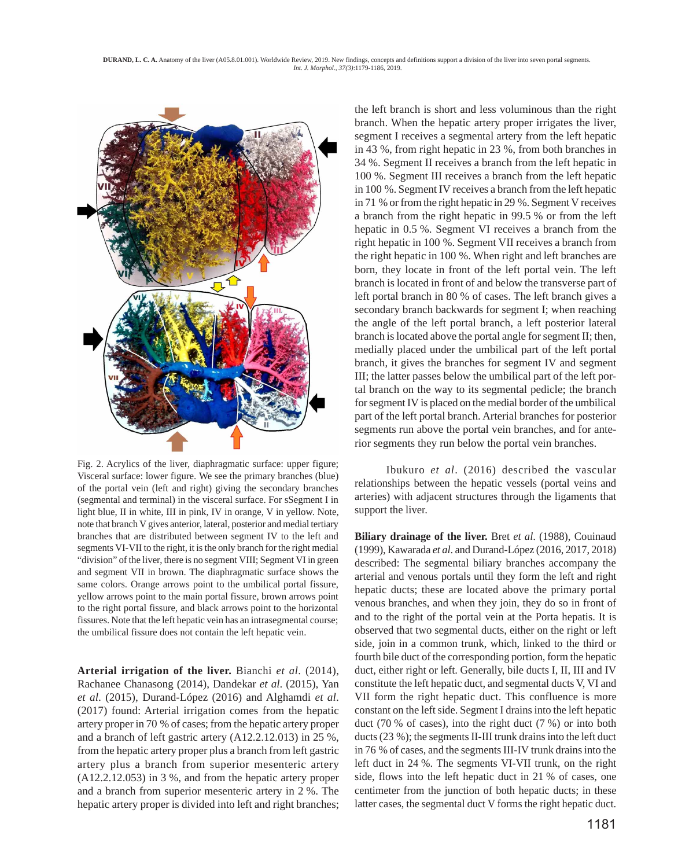

Fig. 2. Acrylics of the liver, diaphragmatic surface: upper figure; Visceral surface: lower figure. We see the primary branches (blue) of the portal vein (left and right) giving the secondary branches (segmental and terminal) in the visceral surface. For sSegment I in light blue, II in white, III in pink, IV in orange, V in yellow. Note, note that branch V gives anterior, lateral, posterior and medial tertiary branches that are distributed between segment IV to the left and segments VI-VII to the right, it is the only branch for the right medial "division" of the liver, there is no segment VIII; Segment VI in green and segment VII in brown. The diaphragmatic surface shows the same colors. Orange arrows point to the umbilical portal fissure, yellow arrows point to the main portal fissure, brown arrows point to the right portal fissure, and black arrows point to the horizontal fissures. Note that the left hepatic vein has an intrasegmental course; the umbilical fissure does not contain the left hepatic vein.

**Arterial irrigation of the liver.** Bianchi *et al*. (2014), Rachanee Chanasong (2014), Dandekar *et al*. (2015), Yan *et al*. (2015), Durand-López (2016) and Alghamdi *et al*. (2017) found: Arterial irrigation comes from the hepatic artery proper in 70 % of cases; from the hepatic artery proper and a branch of left gastric artery (A12.2.12.013) in 25 %, from the hepatic artery proper plus a branch from left gastric artery plus a branch from superior mesenteric artery (A12.2.12.053) in 3 %, and from the hepatic artery proper and a branch from superior mesenteric artery in 2 %. The hepatic artery proper is divided into left and right branches;

the left branch is short and less voluminous than the right branch. When the hepatic artery proper irrigates the liver, segment I receives a segmental artery from the left hepatic in 43 %, from right hepatic in 23 %, from both branches in 34 %. Segment II receives a branch from the left hepatic in 100 %. Segment III receives a branch from the left hepatic in 100 %. Segment IV receives a branch from the left hepatic in 71 % or from the right hepatic in 29 %. Segment V receives a branch from the right hepatic in 99.5 % or from the left hepatic in 0.5 %. Segment VI receives a branch from the right hepatic in 100 %. Segment VII receives a branch from the right hepatic in 100 %. When right and left branches are born, they locate in front of the left portal vein. The left branch is located in front of and below the transverse part of left portal branch in 80 % of cases. The left branch gives a secondary branch backwards for segment I; when reaching the angle of the left portal branch, a left posterior lateral branch is located above the portal angle for segment II; then, medially placed under the umbilical part of the left portal branch, it gives the branches for segment IV and segment III; the latter passes below the umbilical part of the left portal branch on the way to its segmental pedicle; the branch for segment IV is placed on the medial border of the umbilical part of the left portal branch. Arterial branches for posterior segments run above the portal vein branches, and for anterior segments they run below the portal vein branches.

Ibukuro *et al*. (2016) described the vascular relationships between the hepatic vessels (portal veins and arteries) with adjacent structures through the ligaments that support the liver.

**Biliary drainage of the liver.** Bret *et al*. (1988), Couinaud (1999), Kawarada *et al*. and Durand-López (2016, 2017, 2018) described: The segmental biliary branches accompany the arterial and venous portals until they form the left and right hepatic ducts; these are located above the primary portal venous branches, and when they join, they do so in front of and to the right of the portal vein at the Porta hepatis. It is observed that two segmental ducts, either on the right or left side, join in a common trunk, which, linked to the third or fourth bile duct of the corresponding portion, form the hepatic duct, either right or left. Generally, bile ducts I, II, III and IV constitute the left hepatic duct, and segmental ducts V, VI and VII form the right hepatic duct. This confluence is more constant on the left side. Segment I drains into the left hepatic duct (70 % of cases), into the right duct (7 %) or into both ducts (23 %); the segments II-III trunk drains into the left duct in 76 % of cases, and the segments III-IV trunk drains into the left duct in 24 %. The segments VI-VII trunk, on the right side, flows into the left hepatic duct in 21 % of cases, one centimeter from the junction of both hepatic ducts; in these latter cases, the segmental duct V forms the right hepatic duct.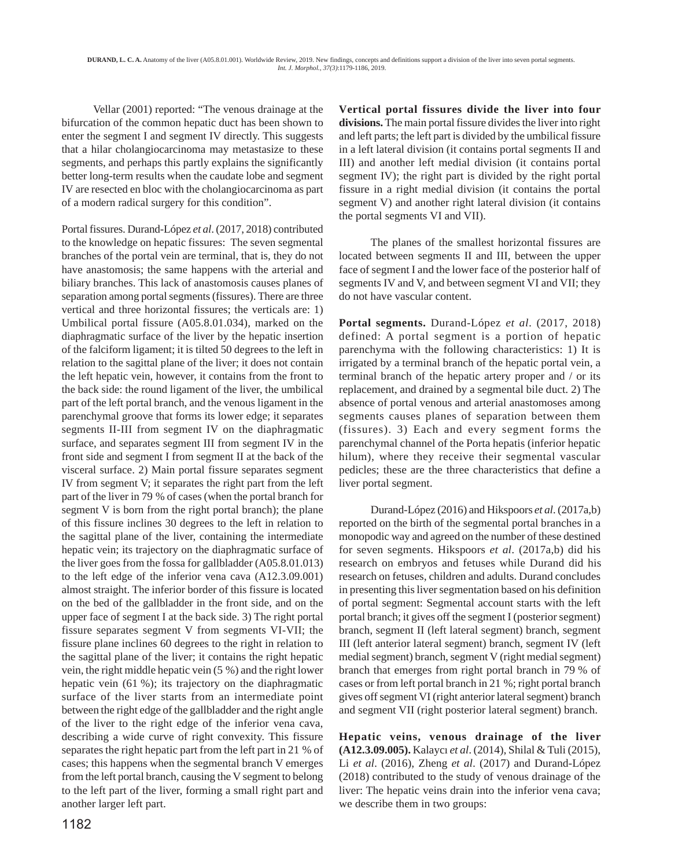Vellar (2001) reported: "The venous drainage at the bifurcation of the common hepatic duct has been shown to enter the segment I and segment IV directly. This suggests that a hilar cholangiocarcinoma may metastasize to these segments, and perhaps this partly explains the significantly better long-term results when the caudate lobe and segment IV are resected en bloc with the cholangiocarcinoma as part of a modern radical surgery for this condition".

Portal fissures. Durand-López *et al*. (2017, 2018) contributed to the knowledge on hepatic fissures: The seven segmental branches of the portal vein are terminal, that is, they do not have anastomosis; the same happens with the arterial and biliary branches. This lack of anastomosis causes planes of separation among portal segments (fissures). There are three vertical and three horizontal fissures; the verticals are: 1) Umbilical portal fissure (A05.8.01.034), marked on the diaphragmatic surface of the liver by the hepatic insertion of the falciform ligament; it is tilted 50 degrees to the left in relation to the sagittal plane of the liver; it does not contain the left hepatic vein, however, it contains from the front to the back side: the round ligament of the liver, the umbilical part of the left portal branch, and the venous ligament in the parenchymal groove that forms its lower edge; it separates segments II-III from segment IV on the diaphragmatic surface, and separates segment III from segment IV in the front side and segment I from segment II at the back of the visceral surface. 2) Main portal fissure separates segment IV from segment V; it separates the right part from the left part of the liver in 79 % of cases (when the portal branch for segment V is born from the right portal branch); the plane of this fissure inclines 30 degrees to the left in relation to the sagittal plane of the liver, containing the intermediate hepatic vein; its trajectory on the diaphragmatic surface of the liver goes from the fossa for gallbladder (A05.8.01.013) to the left edge of the inferior vena cava (A12.3.09.001) almost straight. The inferior border of this fissure is located on the bed of the gallbladder in the front side, and on the upper face of segment I at the back side. 3) The right portal fissure separates segment V from segments VI-VII; the fissure plane inclines 60 degrees to the right in relation to the sagittal plane of the liver; it contains the right hepatic vein, the right middle hepatic vein (5 %) and the right lower hepatic vein (61 %); its trajectory on the diaphragmatic surface of the liver starts from an intermediate point between the right edge of the gallbladder and the right angle of the liver to the right edge of the inferior vena cava, describing a wide curve of right convexity. This fissure separates the right hepatic part from the left part in 21 % of cases; this happens when the segmental branch V emerges from the left portal branch, causing the V segment to belong to the left part of the liver, forming a small right part and another larger left part.

**Vertical portal fissures divide the liver into four divisions.** The main portal fissure divides the liver into right and left parts; the left part is divided by the umbilical fissure in a left lateral division (it contains portal segments II and III) and another left medial division (it contains portal segment IV); the right part is divided by the right portal fissure in a right medial division (it contains the portal segment V) and another right lateral division (it contains the portal segments VI and VII).

The planes of the smallest horizontal fissures are located between segments II and III, between the upper face of segment I and the lower face of the posterior half of segments IV and V, and between segment VI and VII; they do not have vascular content.

**Portal segments.** Durand-López *et al*. (2017, 2018) defined: A portal segment is a portion of hepatic parenchyma with the following characteristics: 1) It is irrigated by a terminal branch of the hepatic portal vein, a terminal branch of the hepatic artery proper and / or its replacement, and drained by a segmental bile duct. 2) The absence of portal venous and arterial anastomoses among segments causes planes of separation between them (fissures). 3) Each and every segment forms the parenchymal channel of the Porta hepatis (inferior hepatic hilum), where they receive their segmental vascular pedicles; these are the three characteristics that define a liver portal segment.

Durand-López (2016) and Hikspoors *et al*. (2017a,b) reported on the birth of the segmental portal branches in a monopodic way and agreed on the number of these destined for seven segments. Hikspoors *et al*. (2017a,b) did his research on embryos and fetuses while Durand did his research on fetuses, children and adults. Durand concludes in presenting this liver segmentation based on his definition of portal segment: Segmental account starts with the left portal branch; it gives off the segment I (posterior segment) branch, segment II (left lateral segment) branch, segment III (left anterior lateral segment) branch, segment IV (left medial segment) branch, segment V (right medial segment) branch that emerges from right portal branch in 79 % of cases or from left portal branch in 21 %; right portal branch gives off segment VI (right anterior lateral segment) branch and segment VII (right posterior lateral segment) branch.

**Hepatic veins, venous drainage of the liver (A12.3.09.005).** Kalaycı *et al*. (2014), Shilal & Tuli (2015), Li *et al*. (2016), Zheng *et al*. (2017) and Durand-López (2018) contributed to the study of venous drainage of the liver: The hepatic veins drain into the inferior vena cava; we describe them in two groups: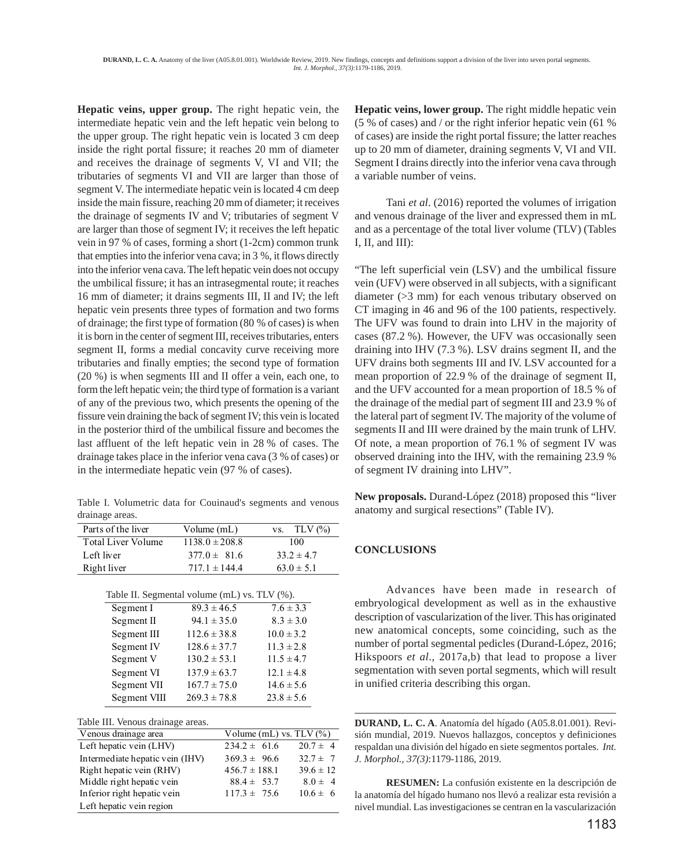**Hepatic veins, upper group.** The right hepatic vein, the intermediate hepatic vein and the left hepatic vein belong to the upper group. The right hepatic vein is located 3 cm deep inside the right portal fissure; it reaches 20 mm of diameter and receives the drainage of segments V, VI and VII; the tributaries of segments VI and VII are larger than those of segment V. The intermediate hepatic vein is located 4 cm deep inside the main fissure, reaching 20 mm of diameter; it receives the drainage of segments IV and V; tributaries of segment V are larger than those of segment IV; it receives the left hepatic vein in 97 % of cases, forming a short (1-2cm) common trunk that empties into the inferior vena cava; in 3 %, it flows directly into the inferior vena cava. The left hepatic vein does not occupy the umbilical fissure; it has an intrasegmental route; it reaches 16 mm of diameter; it drains segments III, II and IV; the left hepatic vein presents three types of formation and two forms of drainage; the first type of formation (80 % of cases) is when it is born in the center of segment III, receives tributaries, enters segment II, forms a medial concavity curve receiving more tributaries and finally empties; the second type of formation (20 %) is when segments III and II offer a vein, each one, to form the left hepatic vein; the third type of formation is a variant of any of the previous two, which presents the opening of the fissure vein draining the back of segment IV; this vein is located in the posterior third of the umbilical fissure and becomes the last affluent of the left hepatic vein in 28 % of cases. The drainage takes place in the inferior vena cava (3 % of cases) or in the intermediate hepatic vein (97 % of cases).

Table I. Volumetric data for Couinaud's segments and venous drainage areas.

| Parts of the liver | Volume $(mL)$      | vs. TLV $\left(\frac{0}{0}\right)$ |
|--------------------|--------------------|------------------------------------|
| Total Liver Volume | $1138.0 \pm 208.8$ | 100                                |
| Left liver         | $377.0 \pm 81.6$   | $33.2 \pm 4.7$                     |
| Right liver        | $717.1 \pm 144.4$  | $63.0 \pm 5.1$                     |
|                    |                    |                                    |

| Table II. Segmental volume (mL) vs. TLV (%). |                  |                |  |  |  |
|----------------------------------------------|------------------|----------------|--|--|--|
| Segment I                                    | $89.3 \pm 46.5$  | $7.6 \pm 3.3$  |  |  |  |
| Segment II                                   | $94.1 \pm 35.0$  | $8.3 \pm 3.0$  |  |  |  |
| Segment III                                  | $112.6 \pm 38.8$ | $10.0 \pm 3.2$ |  |  |  |
| Segment IV                                   | $128.6 \pm 37.7$ | $11.3 \pm 2.8$ |  |  |  |
| Segment V                                    | $130.2 \pm 53.1$ | $11.5 \pm 4.7$ |  |  |  |
| Segment VI                                   | $137.9 \pm 63.7$ | $12.1 \pm 4.8$ |  |  |  |
| Segment VII                                  | $167.7 \pm 75.0$ | $14.6 \pm 5.6$ |  |  |  |
| Segment VIII                                 | $269.3 \pm 78.8$ | $23.8 \pm 5.6$ |  |  |  |
|                                              |                  |                |  |  |  |

Table III. Venous drainage areas.

| Venous drainage area            | Volume (mL) vs. TLV $(\%)$ |               |
|---------------------------------|----------------------------|---------------|
| Left hepatic vein (LHV)         | $234.2 \pm 61.6$           | $20.7 \pm 4$  |
| Intermediate hepatic vein (IHV) | $369.3 \pm 96.6$           | $32.7 \pm 7$  |
| Right hepatic vein (RHV)        | $456.7 \pm 188.1$          | $39.6 \pm 12$ |
| Middle right hepatic vein       | $88.4 \pm 53.7$            | $8.0 \pm 4$   |
| Inferior right hepatic vein     | $117.3 \pm 75.6$           | $10.6 \pm 6$  |
| Left hepatic vein region        |                            |               |

**Hepatic veins, lower group.** The right middle hepatic vein (5 % of cases) and / or the right inferior hepatic vein (61 % of cases) are inside the right portal fissure; the latter reaches up to 20 mm of diameter, draining segments V, VI and VII. Segment I drains directly into the inferior vena cava through a variable number of veins.

Tani *et al*. (2016) reported the volumes of irrigation and venous drainage of the liver and expressed them in mL and as a percentage of the total liver volume (TLV) (Tables I,  $II$ , and  $III$ ):

"The left superficial vein (LSV) and the umbilical fissure vein (UFV) were observed in all subjects, with a significant diameter (>3 mm) for each venous tributary observed on CT imaging in 46 and 96 of the 100 patients, respectively. The UFV was found to drain into LHV in the majority of cases (87.2 %). However, the UFV was occasionally seen draining into IHV (7.3 %). LSV drains segment II, and the UFV drains both segments III and IV. LSV accounted for a mean proportion of 22.9 % of the drainage of segment II, and the UFV accounted for a mean proportion of 18.5 % of the drainage of the medial part of segment III and 23.9 % of the lateral part of segment IV. The majority of the volume of segments II and III were drained by the main trunk of LHV. Of note, a mean proportion of 76.1 % of segment IV was observed draining into the IHV, with the remaining 23.9 % of segment IV draining into LHV".

**New proposals.** Durand-López (2018) proposed this "liver anatomy and surgical resections" (Table IV).

## **CONCLUSIONS**

Advances have been made in research of embryological development as well as in the exhaustive description of vascularization of the liver. This has originated new anatomical concepts, some coinciding, such as the number of portal segmental pedicles (Durand-López, 2016; Hikspoors *et al*., 2017a,b) that lead to propose a liver segmentation with seven portal segments, which will result in unified criteria describing this organ.

**DURAND, L. C. A**. Anatomía del hígado (A05.8.01.001). Revisión mundial, 2019. Nuevos hallazgos, conceptos y definiciones respaldan una división del hígado en siete segmentos portales. *Int. J. Morphol., 37(3)*:1179-1186, 2019.

**RESUMEN:** La confusión existente en la descripción de la anatomía del hígado humano nos llevó a realizar esta revisión a nivel mundial. Las investigaciones se centran en la vascularización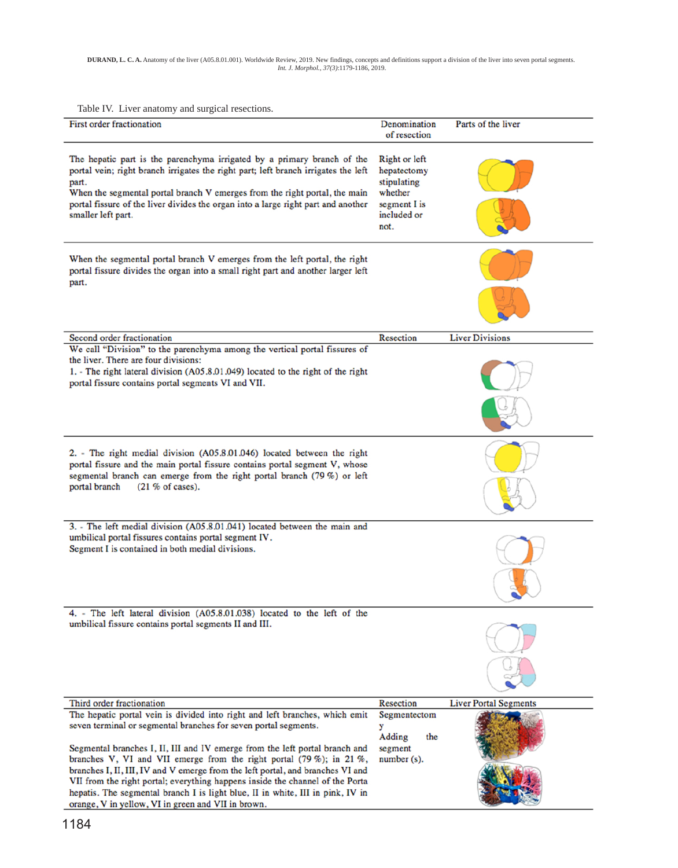Table IV. Liver anatomy and surgical resections.

| raoic IV. Erver anatomy and surgical resections.                                                                                                                                                                                                                                                                                                                                                                                                                                                                                                                                                                 |                                                                                               |                              |
|------------------------------------------------------------------------------------------------------------------------------------------------------------------------------------------------------------------------------------------------------------------------------------------------------------------------------------------------------------------------------------------------------------------------------------------------------------------------------------------------------------------------------------------------------------------------------------------------------------------|-----------------------------------------------------------------------------------------------|------------------------------|
| First order fractionation                                                                                                                                                                                                                                                                                                                                                                                                                                                                                                                                                                                        | Denomination<br>of resection                                                                  | Parts of the liver           |
| The hepatic part is the parenchyma irrigated by a primary branch of the<br>portal vein; right branch irrigates the right part; left branch irrigates the left<br>part.<br>When the segmental portal branch V emerges from the right portal, the main<br>portal fissure of the liver divides the organ into a large right part and another<br>smaller left part.                                                                                                                                                                                                                                                  | Right or left<br>hepatectomy<br>stipulating<br>whether<br>segment I is<br>included or<br>not. |                              |
| When the segmental portal branch V emerges from the left portal, the right<br>portal fissure divides the organ into a small right part and another larger left<br>part.                                                                                                                                                                                                                                                                                                                                                                                                                                          |                                                                                               |                              |
| Second order fractionation                                                                                                                                                                                                                                                                                                                                                                                                                                                                                                                                                                                       | Resection                                                                                     | <b>Liver Divisions</b>       |
| We call "Division" to the parenchyma among the vertical portal fissures of<br>the liver. There are four divisions:<br>1. - The right lateral division (A05.8.01.049) located to the right of the right<br>portal fissure contains portal segments VI and VII.                                                                                                                                                                                                                                                                                                                                                    |                                                                                               |                              |
| 2. - The right medial division (A05.8.01.046) located between the right<br>portal fissure and the main portal fissure contains portal segment V, whose<br>segmental branch can emerge from the right portal branch (79 %) or left<br>portal branch<br>$(21\% \text{ of cases}).$                                                                                                                                                                                                                                                                                                                                 |                                                                                               |                              |
| 3. - The left medial division (A05.8.01.041) located between the main and<br>umbilical portal fissures contains portal segment IV.<br>Segment I is contained in both medial divisions.                                                                                                                                                                                                                                                                                                                                                                                                                           |                                                                                               |                              |
| 4. - The left lateral division (A05.8.01.038) located to the left of the<br>umbilical fissure contains portal segments II and III.                                                                                                                                                                                                                                                                                                                                                                                                                                                                               |                                                                                               |                              |
| Third order fractionation                                                                                                                                                                                                                                                                                                                                                                                                                                                                                                                                                                                        | Resection                                                                                     | <b>Liver Portal Segments</b> |
| The hepatic portal vein is divided into right and left branches, which emit<br>seven terminal or segmental branches for seven portal segments.<br>Segmental branches I, II, III and IV emerge from the left portal branch and<br>branches V, VI and VII emerge from the right portal (79 %); in 21 %,<br>branches I, II, III, IV and V emerge from the left portal, and branches VI and<br>VII from the right portal; everything happens inside the channel of the Porta<br>hepatis. The segmental branch I is light blue, II in white, III in pink, IV in<br>orange, V in yellow, VI in green and VII in brown. | Segmentectom<br>у<br>Adding<br>the<br>segment<br>$number(s)$ .                                |                              |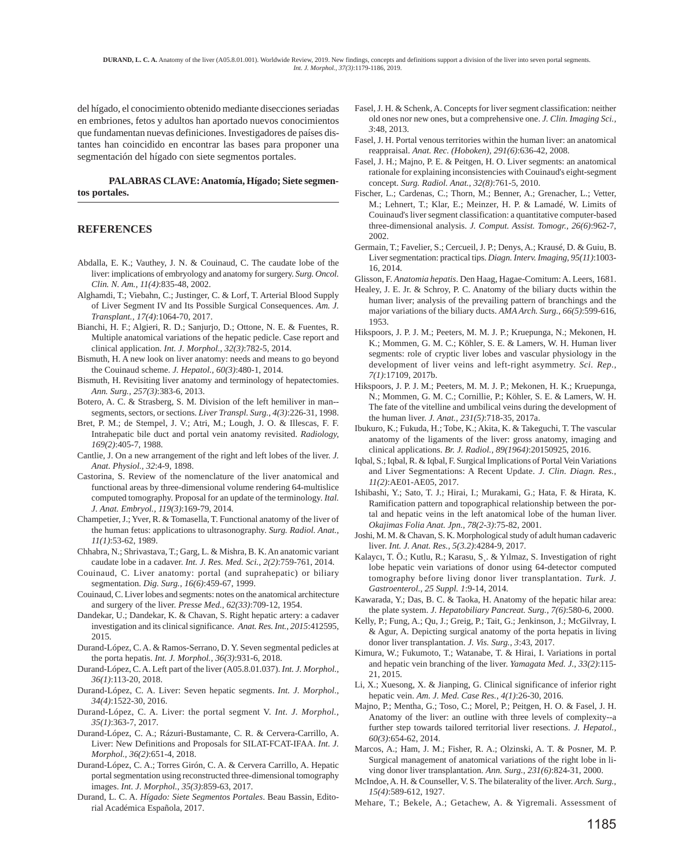del hígado, el conocimiento obtenido mediante disecciones seriadas en embriones, fetos y adultos han aportado nuevos conocimientos que fundamentan nuevas definiciones. Investigadores de países distantes han coincidido en encontrar las bases para proponer una segmentación del hígado con siete segmentos portales.

**PALABRAS CLAVE: Anatomía, Hígado; Siete segmentos portales.**

### **REFERENCES**

- Abdalla, E. K.; Vauthey, J. N. & Couinaud, C. The caudate lobe of the liver: implications of embryology and anatomy for surgery. *Surg. Oncol. Clin. N. Am., 11(4)*:835-48, 2002.
- Alghamdi, T.; Viebahn, C.; Justinger, C. & Lorf, T. Arterial Blood Supply of Liver Segment IV and Its Possible Surgical Consequences. *Am. J. Transplant., 17(4)*:1064-70, 2017.
- Bianchi, H. F.; Algieri, R. D.; Sanjurjo, D.; Ottone, N. E. & Fuentes, R. Multiple anatomical variations of the hepatic pedicle. Case report and clinical application. *Int. J. Morphol., 32(3)*:782-5, 2014.
- Bismuth, H. A new look on liver anatomy: needs and means to go beyond the Couinaud scheme. *J. Hepatol., 60(3)*:480-1, 2014.
- Bismuth, H. Revisiting liver anatomy and terminology of hepatectomies. *Ann. Surg., 257(3)*:383-6, 2013.
- Botero, A. C. & Strasberg, S. M. Division of the left hemiliver in man- segments, sectors, or sections. *Liver Transpl. Surg., 4(3)*:226-31, 1998.
- Bret, P. M.; de Stempel, J. V.; Atri, M.; Lough, J. O. & Illescas, F. F. Intrahepatic bile duct and portal vein anatomy revisited. *Radiology, 169(2)*:405-7, 1988.
- Cantlie, J. On a new arrangement of the right and left lobes of the liver. *J. Anat. Physiol., 32*:4-9, 1898.
- Castorina, S. Review of the nomenclature of the liver anatomical and functional areas by three-dimensional volume rendering 64-multislice computed tomography. Proposal for an update of the terminology. *Ital. J. Anat. Embryol., 119(3)*:169-79, 2014.
- Champetier, J.; Yver, R. & Tomasella, T. Functional anatomy of the liver of the human fetus: applications to ultrasonography. *Surg. Radiol. Anat., 11(1)*:53-62, 1989.
- Chhabra, N.; Shrivastava, T.; Garg, L. & Mishra, B. K. An anatomic variant caudate lobe in a cadaver. *Int. J. Res. Med. Sci., 2(2)*:759-761, 2014.
- Couinaud, C. Liver anatomy: portal (and suprahepatic) or biliary segmentation. *Dig. Surg., 16(6)*:459-67, 1999.
- Couinaud, C. Liver lobes and segments: notes on the anatomical architecture and surgery of the liver. *Presse Med., 62(33)*:709-12, 1954.
- Dandekar, U.; Dandekar, K. & Chavan, S. Right hepatic artery: a cadaver investigation and its clinical significance. *Anat. Res. Int., 2015*:412595, 2015.
- Durand-López, C. A. & Ramos-Serrano, D. Y. Seven segmental pedicles at the porta hepatis. *Int. J. Morphol., 36(3)*:931-6, 2018.
- Durand-López, C. A. Left part of the liver (A05.8.01.037). *Int. J. Morphol., 36(1)*:113-20, 2018.
- Durand-López, C. A. Liver: Seven hepatic segments. *Int. J. Morphol., 34(4)*:1522-30, 2016.
- Durand-López, C. A. Liver: the portal segment V. *Int. J. Morphol., 35(1)*:363-7, 2017.
- Durand-López, C. A.; Rázuri-Bustamante, C. R. & Cervera-Carrillo, A. Liver: New Definitions and Proposals for SILAT-FCAT-IFAA. *Int. J. Morphol., 36(2)*:651-4, 2018.
- Durand-López, C. A.; Torres Girón, C. A. & Cervera Carrillo, A. Hepatic portal segmentation using reconstructed three-dimensional tomography images. *Int. J. Morphol., 35(3)*:859-63, 2017.
- Durand, L. C. A. *Hígado: Siete Segmentos Portales*. Beau Bassin, Editorial Académica Española, 2017.
- Fasel, J. H. & Schenk, A. Concepts for liver segment classification: neither old ones nor new ones, but a comprehensive one. *J. Clin. Imaging Sci., 3*:48, 2013.
- Fasel, J. H. Portal venous territories within the human liver: an anatomical reappraisal. *Anat. Rec. (Hoboken), 291(6)*:636-42, 2008.
- Fasel, J. H.; Majno, P. E. & Peitgen, H. O. Liver segments: an anatomical rationale for explaining inconsistencies with Couinaud's eight-segment concept. *Surg. Radiol. Anat., 32(8)*:761-5, 2010.
- Fischer, L.; Cardenas, C.; Thorn, M.; Benner, A.; Grenacher, L.; Vetter, M.; Lehnert, T.; Klar, E.; Meinzer, H. P. & Lamadé, W. Limits of Couinaud's liver segment classification: a quantitative computer-based three-dimensional analysis. *J. Comput. Assist. Tomogr., 26(6)*:962-7, 2002.
- Germain, T.; Favelier, S.; Cercueil, J. P.; Denys, A.; Krausé, D. & Guiu, B. Liver segmentation: practical tips. *Diagn. Interv. Imaging, 95(11)*:1003- 16, 2014.
- Glisson, F. *Anatomia hepatis*. Den Haag, Hagae-Comitum: A. Leers, 1681.
- Healey, J. E. Jr. & Schroy, P. C. Anatomy of the biliary ducts within the human liver; analysis of the prevailing pattern of branchings and the major variations of the biliary ducts. *AMA Arch. Surg., 66(5)*:599-616, 1953.
- Hikspoors, J. P. J. M.; Peeters, M. M. J. P.; Kruepunga, N.; Mekonen, H. K.; Mommen, G. M. C.; Köhler, S. E. & Lamers, W. H. Human liver segments: role of cryptic liver lobes and vascular physiology in the development of liver veins and left-right asymmetry. *Sci. Rep., 7(1)*:17109, 2017b.
- Hikspoors, J. P. J. M.; Peeters, M. M. J. P.; Mekonen, H. K.; Kruepunga, N.; Mommen, G. M. C.; Cornillie, P.; Köhler, S. E. & Lamers, W. H. The fate of the vitelline and umbilical veins during the development of the human liver. *J. Anat., 231(5)*:718-35, 2017a.
- Ibukuro, K.; Fukuda, H.; Tobe, K.; Akita, K. & Takeguchi, T. The vascular anatomy of the ligaments of the liver: gross anatomy, imaging and clinical applications. *Br. J. Radiol., 89(1964)*:20150925, 2016.
- Iqbal, S.; Iqbal, R. & Iqbal, F. Surgical Implications of Portal Vein Variations and Liver Segmentations: A Recent Update. *J. Clin. Diagn. Res., 11(2)*:AE01-AE05, 2017.
- Ishibashi, Y.; Sato, T. J.; Hirai, I.; Murakami, G.; Hata, F. & Hirata, K. Ramification pattern and topographical relationship between the portal and hepatic veins in the left anatomical lobe of the human liver. *Okajimas Folia Anat. Jpn., 78(2-3)*:75-82, 2001.
- Joshi, M. M. & Chavan, S. K. Morphological study of adult human cadaveric liver. *Int. J. Anat. Res., 5(3.2)*:4284-9, 2017.
- Kalaycı, T. Ö.; Kutlu, R.; Karasu, S¸. & Yılmaz, S. Investigation of right lobe hepatic vein variations of donor using 64-detector computed tomography before living donor liver transplantation. *Turk. J. Gastroenterol., 25 Suppl. 1*:9-14, 2014.
- Kawarada, Y.; Das, B. C. & Taoka, H. Anatomy of the hepatic hilar area: the plate system. *J. Hepatobiliary Pancreat. Surg., 7(6)*:580-6, 2000.
- Kelly, P.; Fung, A.; Qu, J.; Greig, P.; Tait, G.; Jenkinson, J.; McGilvray, I. & Agur, A. Depicting surgical anatomy of the porta hepatis in living donor liver transplantation. *J. Vis. Surg., 3*:43, 2017.
- Kimura, W.; Fukumoto, T.; Watanabe, T. & Hirai, I. Variations in portal and hepatic vein branching of the liver. *Yamagata Med. J., 33(2)*:115- 21, 2015.
- Li, X.; Xuesong, X. & Jianping, G. Clinical significance of inferior right hepatic vein. *Am. J. Med. Case Res., 4(1)*:26-30, 2016.
- Majno, P.; Mentha, G.; Toso, C.; Morel, P.; Peitgen, H. O. & Fasel, J. H. Anatomy of the liver: an outline with three levels of complexity--a further step towards tailored territorial liver resections. *J. Hepatol., 60(3)*:654-62, 2014.
- Marcos, A.; Ham, J. M.; Fisher, R. A.; Olzinski, A. T. & Posner, M. P. Surgical management of anatomical variations of the right lobe in living donor liver transplantation. *Ann. Surg., 231(6)*:824-31, 2000.
- McIndoe, A. H. & Counseller, V. S. The bilaterality of the liver. *Arch. Surg., 15(4)*:589-612, 1927.
- Mehare, T.; Bekele, A.; Getachew, A. & Yigremali. Assessment of